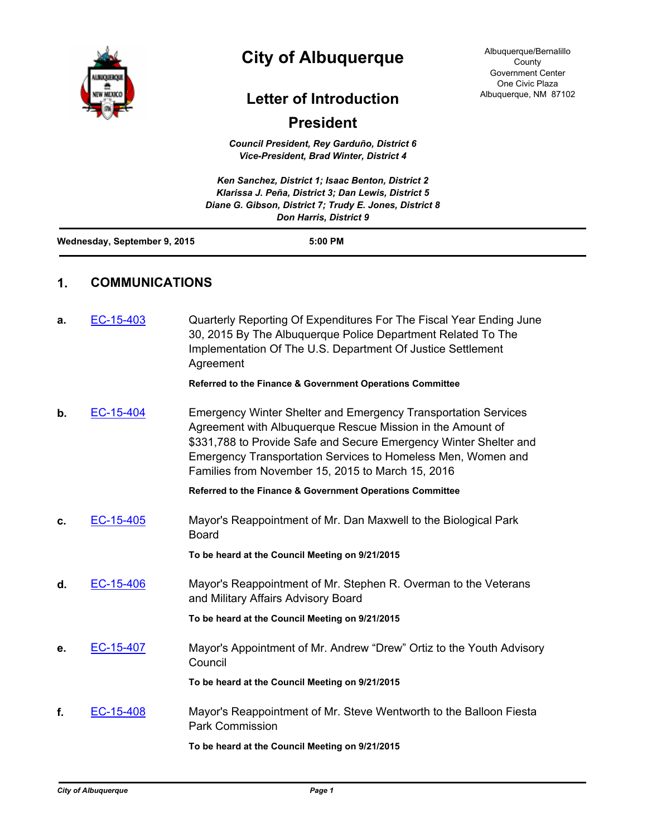

## **City of Albuquerque**

## **Letter of Introduction**

## **President**

*Council President, Rey Garduño, District 6 Vice-President, Brad Winter, District 4*

| Ken Sanchez, District 1; Isaac Benton, District 2<br>Klarissa J. Peña, District 3; Dan Lewis, District 5<br>Diane G. Gibson, District 7; Trudy E. Jones, District 8<br><b>Don Harris, District 9</b> |                                         |                                                                                                                                                                                                                                                                                                                               |  |  |  |  |
|------------------------------------------------------------------------------------------------------------------------------------------------------------------------------------------------------|-----------------------------------------|-------------------------------------------------------------------------------------------------------------------------------------------------------------------------------------------------------------------------------------------------------------------------------------------------------------------------------|--|--|--|--|
|                                                                                                                                                                                                      | Wednesday, September 9, 2015<br>5:00 PM |                                                                                                                                                                                                                                                                                                                               |  |  |  |  |
| 1.                                                                                                                                                                                                   | <b>COMMUNICATIONS</b>                   |                                                                                                                                                                                                                                                                                                                               |  |  |  |  |
| а.                                                                                                                                                                                                   | EC-15-403                               | Quarterly Reporting Of Expenditures For The Fiscal Year Ending June<br>30, 2015 By The Albuquerque Police Department Related To The<br>Implementation Of The U.S. Department Of Justice Settlement<br>Agreement                                                                                                               |  |  |  |  |
|                                                                                                                                                                                                      |                                         | <b>Referred to the Finance &amp; Government Operations Committee</b>                                                                                                                                                                                                                                                          |  |  |  |  |
| b.                                                                                                                                                                                                   | EC-15-404                               | <b>Emergency Winter Shelter and Emergency Transportation Services</b><br>Agreement with Albuquerque Rescue Mission in the Amount of<br>\$331,788 to Provide Safe and Secure Emergency Winter Shelter and<br>Emergency Transportation Services to Homeless Men, Women and<br>Families from November 15, 2015 to March 15, 2016 |  |  |  |  |
|                                                                                                                                                                                                      |                                         | Referred to the Finance & Government Operations Committee                                                                                                                                                                                                                                                                     |  |  |  |  |
| c.                                                                                                                                                                                                   | EC-15-405                               | Mayor's Reappointment of Mr. Dan Maxwell to the Biological Park<br><b>Board</b>                                                                                                                                                                                                                                               |  |  |  |  |
|                                                                                                                                                                                                      |                                         | To be heard at the Council Meeting on 9/21/2015                                                                                                                                                                                                                                                                               |  |  |  |  |
| d.                                                                                                                                                                                                   | EC-15-406                               | Mayor's Reappointment of Mr. Stephen R. Overman to the Veterans<br>and Military Affairs Advisory Board                                                                                                                                                                                                                        |  |  |  |  |
|                                                                                                                                                                                                      |                                         | To be heard at the Council Meeting on 9/21/2015                                                                                                                                                                                                                                                                               |  |  |  |  |
| е.                                                                                                                                                                                                   | EC-15-407                               | Mayor's Appointment of Mr. Andrew "Drew" Ortiz to the Youth Advisory<br>Council                                                                                                                                                                                                                                               |  |  |  |  |
|                                                                                                                                                                                                      |                                         | To be heard at the Council Meeting on 9/21/2015                                                                                                                                                                                                                                                                               |  |  |  |  |
|                                                                                                                                                                                                      | $\overline{AB}$<br>r^                   | $\mathbf{r}$ $\mathbf{r}$ and $\mathbf{r}$ and $\mathbf{r}$ and $\mathbf{r}$ and $\mathbf{r}$ and $\mathbf{r}$                                                                                                                                                                                                                |  |  |  |  |

**f.** [EC-15-408](http://cabq.legistar.com/gateway.aspx?m=l&id=/matter.aspx?key=9857) Mayor's Reappointment of Mr. Steve Wentworth to the Balloon Fiesta Park Commission

**To be heard at the Council Meeting on 9/21/2015**

Albuquerque/Bernalillo County Government Center One Civic Plaza Albuquerque, NM 87102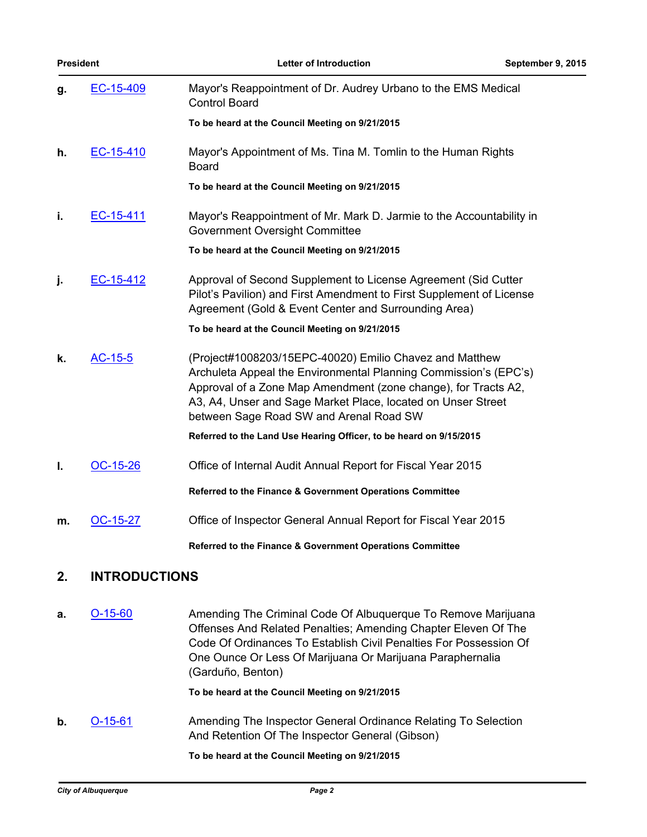| <b>President</b> |                      | <b>Letter of Introduction</b>                                                                                                                                                                                                                                                                            | September 9, 2015 |
|------------------|----------------------|----------------------------------------------------------------------------------------------------------------------------------------------------------------------------------------------------------------------------------------------------------------------------------------------------------|-------------------|
| g.               | EC-15-409            | Mayor's Reappointment of Dr. Audrey Urbano to the EMS Medical<br><b>Control Board</b>                                                                                                                                                                                                                    |                   |
|                  |                      | To be heard at the Council Meeting on 9/21/2015                                                                                                                                                                                                                                                          |                   |
| h.               | EC-15-410            | Mayor's Appointment of Ms. Tina M. Tomlin to the Human Rights<br><b>Board</b>                                                                                                                                                                                                                            |                   |
|                  |                      | To be heard at the Council Meeting on 9/21/2015                                                                                                                                                                                                                                                          |                   |
| i.               | EC-15-411            | Mayor's Reappointment of Mr. Mark D. Jarmie to the Accountability in<br>Government Oversight Committee                                                                                                                                                                                                   |                   |
|                  |                      | To be heard at the Council Meeting on 9/21/2015                                                                                                                                                                                                                                                          |                   |
| j.               | EC-15-412            | Approval of Second Supplement to License Agreement (Sid Cutter<br>Pilot's Pavilion) and First Amendment to First Supplement of License<br>Agreement (Gold & Event Center and Surrounding Area)                                                                                                           |                   |
|                  |                      | To be heard at the Council Meeting on 9/21/2015                                                                                                                                                                                                                                                          |                   |
| k.               | AC-15-5              | (Project#1008203/15EPC-40020) Emilio Chavez and Matthew<br>Archuleta Appeal the Environmental Planning Commission's (EPC's)<br>Approval of a Zone Map Amendment (zone change), for Tracts A2,<br>A3, A4, Unser and Sage Market Place, located on Unser Street<br>between Sage Road SW and Arenal Road SW |                   |
|                  |                      | Referred to the Land Use Hearing Officer, to be heard on 9/15/2015                                                                                                                                                                                                                                       |                   |
| I.               | OC-15-26             | Office of Internal Audit Annual Report for Fiscal Year 2015                                                                                                                                                                                                                                              |                   |
|                  |                      | Referred to the Finance & Government Operations Committee                                                                                                                                                                                                                                                |                   |
| m.               | OC-15-27             | Office of Inspector General Annual Report for Fiscal Year 2015                                                                                                                                                                                                                                           |                   |
|                  |                      | Referred to the Finance & Government Operations Committee                                                                                                                                                                                                                                                |                   |
| 2.               | <b>INTRODUCTIONS</b> |                                                                                                                                                                                                                                                                                                          |                   |

ш,

**a. [O-15-60](http://cabq.legistar.com/gateway.aspx?m=l&id=/matter.aspx?key=9851) Amending The Criminal Code Of Albuquerque To Remove Marijuana** Offenses And Related Penalties; Amending Chapter Eleven Of The Code Of Ordinances To Establish Civil Penalties For Possession Of One Ounce Or Less Of Marijuana Or Marijuana Paraphernalia (Garduño, Benton)

**To be heard at the Council Meeting on 9/21/2015**

**b. [O-15-61](http://cabq.legistar.com/gateway.aspx?m=l&id=/matter.aspx?key=9864)** Amending The Inspector General Ordinance Relating To Selection And Retention Of The Inspector General (Gibson)

**To be heard at the Council Meeting on 9/21/2015**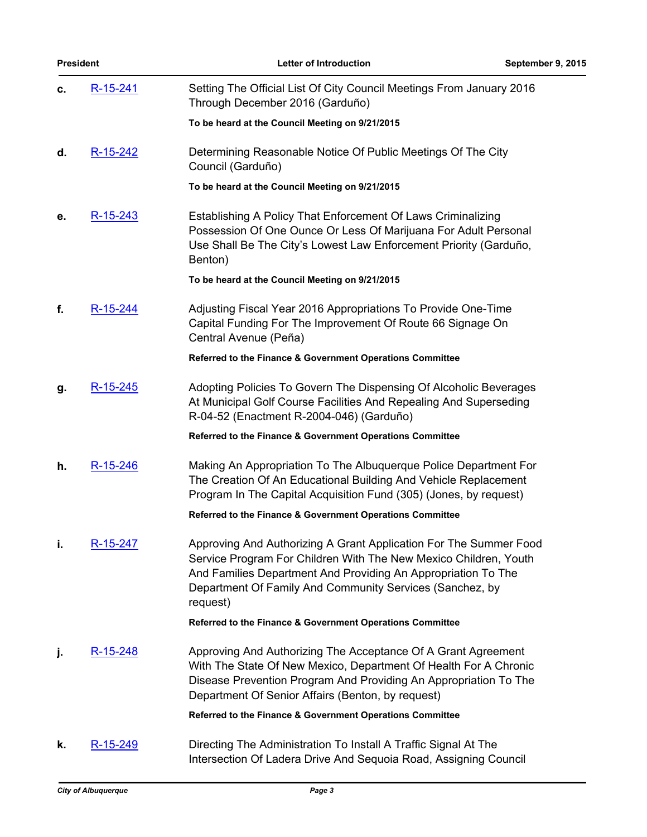| <b>President</b> |          | Letter of Introduction                                                                                                                                                                                                                                                         | September 9, 2015 |
|------------------|----------|--------------------------------------------------------------------------------------------------------------------------------------------------------------------------------------------------------------------------------------------------------------------------------|-------------------|
| с.               | R-15-241 | Setting The Official List Of City Council Meetings From January 2016<br>Through December 2016 (Garduño)                                                                                                                                                                        |                   |
|                  |          | To be heard at the Council Meeting on 9/21/2015                                                                                                                                                                                                                                |                   |
| d.               | R-15-242 | Determining Reasonable Notice Of Public Meetings Of The City<br>Council (Garduño)                                                                                                                                                                                              |                   |
|                  |          | To be heard at the Council Meeting on 9/21/2015                                                                                                                                                                                                                                |                   |
| е.               | R-15-243 | Establishing A Policy That Enforcement Of Laws Criminalizing<br>Possession Of One Ounce Or Less Of Marijuana For Adult Personal<br>Use Shall Be The City's Lowest Law Enforcement Priority (Garduño,<br>Benton)                                                                |                   |
|                  |          | To be heard at the Council Meeting on 9/21/2015                                                                                                                                                                                                                                |                   |
| f.               | R-15-244 | Adjusting Fiscal Year 2016 Appropriations To Provide One-Time<br>Capital Funding For The Improvement Of Route 66 Signage On<br>Central Avenue (Peña)                                                                                                                           |                   |
|                  |          | Referred to the Finance & Government Operations Committee                                                                                                                                                                                                                      |                   |
| g.               | R-15-245 | Adopting Policies To Govern The Dispensing Of Alcoholic Beverages<br>At Municipal Golf Course Facilities And Repealing And Superseding<br>R-04-52 (Enactment R-2004-046) (Garduño)                                                                                             |                   |
|                  |          | Referred to the Finance & Government Operations Committee                                                                                                                                                                                                                      |                   |
| h.               | R-15-246 | Making An Appropriation To The Albuquerque Police Department For<br>The Creation Of An Educational Building And Vehicle Replacement<br>Program In The Capital Acquisition Fund (305) (Jones, by request)                                                                       |                   |
|                  |          | Referred to the Finance & Government Operations Committee                                                                                                                                                                                                                      |                   |
| j,               | R-15-247 | Approving And Authorizing A Grant Application For The Summer Food<br>Service Program For Children With The New Mexico Children, Youth<br>And Families Department And Providing An Appropriation To The<br>Department Of Family And Community Services (Sanchez, by<br>request) |                   |
|                  |          | Referred to the Finance & Government Operations Committee                                                                                                                                                                                                                      |                   |
| j.               | R-15-248 | Approving And Authorizing The Acceptance Of A Grant Agreement<br>With The State Of New Mexico, Department Of Health For A Chronic<br>Disease Prevention Program And Providing An Appropriation To The<br>Department Of Senior Affairs (Benton, by request)                     |                   |
|                  |          | Referred to the Finance & Government Operations Committee                                                                                                                                                                                                                      |                   |
| k.               | R-15-249 | Directing The Administration To Install A Traffic Signal At The<br>Intersection Of Ladera Drive And Sequoia Road, Assigning Council                                                                                                                                            |                   |